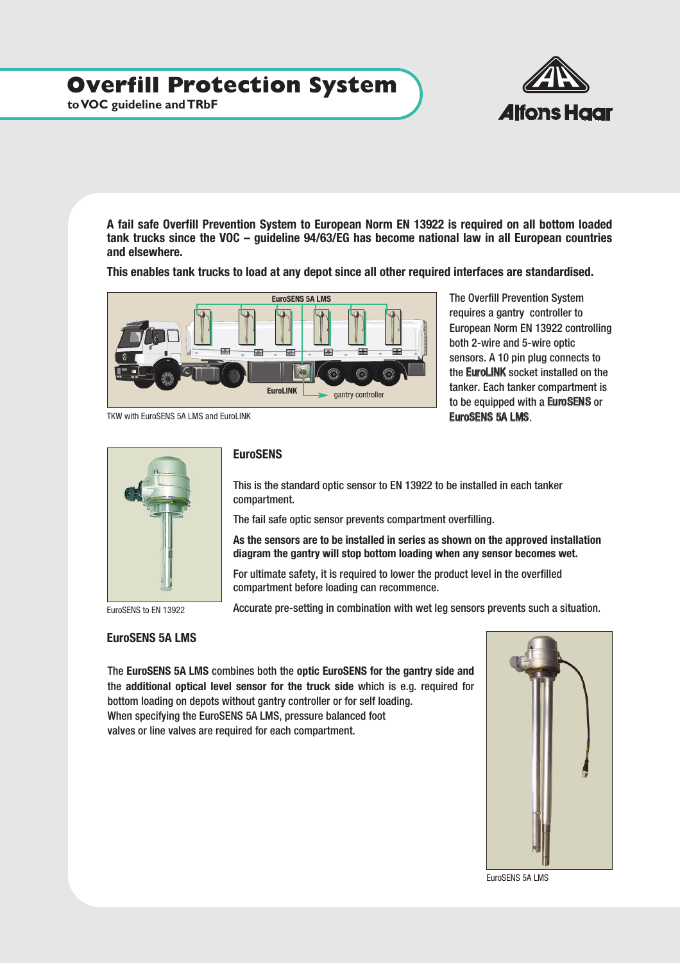# **Overfill Protection System**

**to VOC guideline and TRbF**



**A fail safe Overfill Prevention System to European Norm EN 13922 is required on all bottom loaded tank trucks since the VOC – guideline 94/63/EG has become national law in all European countries and elsewhere.** 

**This enables tank trucks to load at any depot since all other required interfaces are standardised.**



The Overfill Prevention System requires a gantry controller to European Norm EN 13922 controlling both 2-wire and 5-wire optic sensors. A 10 pin plug connects to the EuroLINK socket installed on the tanker. Each tanker compartment is to be equipped with a EuroSENS or EuroSENS 5A LMS.



EuroSENS to EN 13922

### **EuroSENS**

This is the standard optic sensor to EN 13922 to be installed in each tanker compartment.

The fail safe optic sensor prevents compartment overfilling.

**As the sensors are to be installed in series as shown on the approved installation diagram the gantry will stop bottom loading when any sensor becomes wet.**

Accurate pre-setting in combination with wet leg sensors prevents such a situation.

For ultimate safety, it is required to lower the product level in the overfilled compartment before loading can recommence.

### **EuroSENS 5A LMS**

The **EuroSENS 5A LMS** combines both the **optic EuroSENS for the gantry side and** the **additional optical level sensor for the truck side** which is e.g. required for bottom loading on depots without gantry controller or for self loading. When specifying the EuroSENS 5A LMS, pressure balanced foot valves or line valves are required for each compartment.



EuroSENS 5A LMS